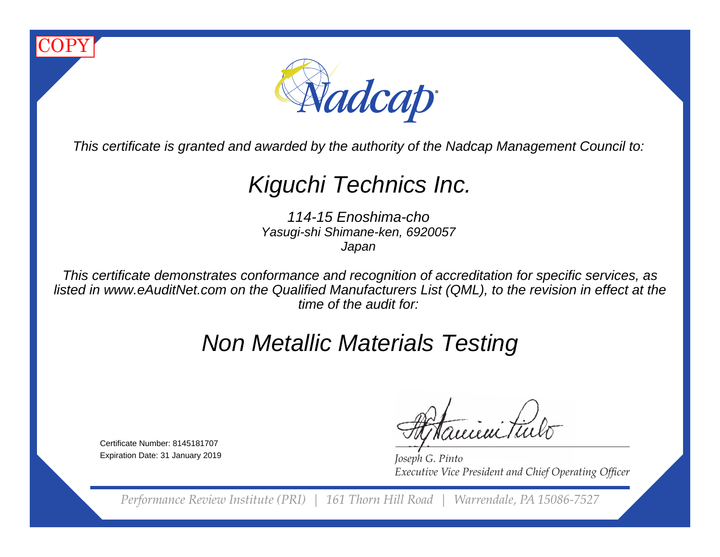



This certificate is granted and awarded by the authority of the Nadcap Management Council to:

# Kiguchi Technics Inc.

114-15 Enoshima-cho Yasugi-shi Shimane-ken, 6920057Japan

This certificate demonstrates conformance and recognition of accreditation for specific services, as listed in www.eAuditNet.com on the Qualified Manufacturers List (QML), to the revision in effect at thetime of the audit for:

# Non Metallic Materials Testing

Certificate Number: 8145181707Expiration Date: 31 January 2019

eiení til

*Joseph G. Pinto* **Executive Vice President and Chief Operating Officer** 

*Performance Review Institute (PRI) | 161 Thorn Hill Road | Warrendale, PA 15086-7527*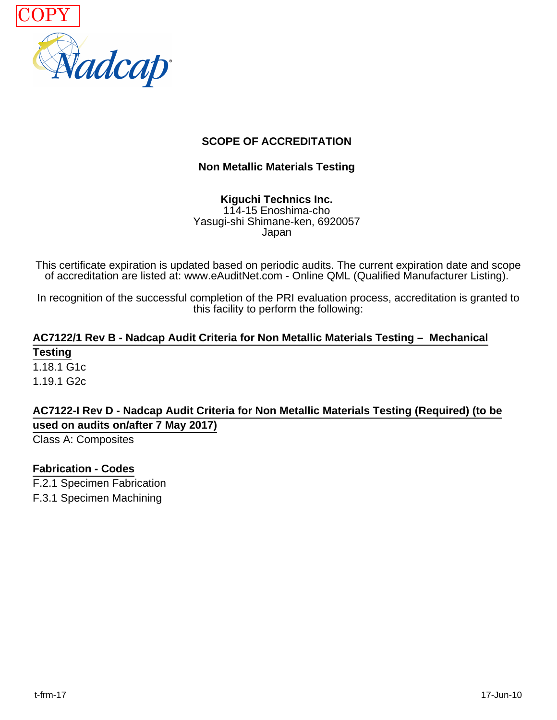

### **SCOPE OF ACCREDITATION**

**Non Metallic Materials Testing**

**Kiguchi Technics Inc.** 114-15 Enoshima-cho Yasugi-shi Shimane-ken, 6920057 Japan

This certificate expiration is updated based on periodic audits. The current expiration date and scope of accreditation are listed at: www.eAuditNet.com - Online QML (Qualified Manufacturer Listing).

In recognition of the successful completion of the PRI evaluation process, accreditation is granted to this facility to perform the following:

## **AC7122/1 Rev B - Nadcap Audit Criteria for Non Metallic Materials Testing – Mechanical Testing**

1.18.1 G1c 1.19.1 G2c

## **AC7122-I Rev D - Nadcap Audit Criteria for Non Metallic Materials Testing (Required) (to be used on audits on/after 7 May 2017)**

Class A: Composites

#### **Fabrication - Codes**

F.2.1 Specimen Fabrication

F.3.1 Specimen Machining